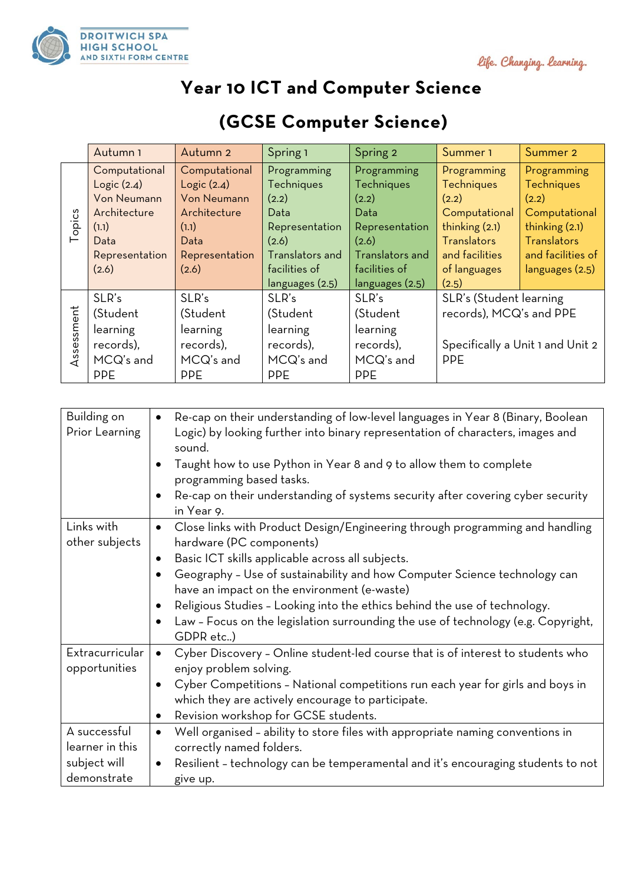



## **Year 10 ICT and Computer Science**

|            | Autumn <sub>1</sub> | Autumn 2           | Spring 1        | Spring 2               | Summer 1                         | Summer 2           |
|------------|---------------------|--------------------|-----------------|------------------------|----------------------------------|--------------------|
|            | Computational       | Computational      | Programming     | Programming            | Programming                      | Programming        |
|            | Logic(2.4)          | Logic(2.4)         | Techniques      | <b>Techniques</b>      | <b>Techniques</b>                | <b>Techniques</b>  |
|            | <b>Von Neumann</b>  | <b>Von Neumann</b> | (2.2)           | (2.2)                  | (2.2)                            | (2.2)              |
|            | Architecture        | Architecture       | Data            | Data                   | Computational                    | Computational      |
| Topics     | (1.1)               | (1.1)              | Representation  | Representation         | thinking $(2.1)$                 | thinking $(2.1)$   |
|            | Data                | Data               | (2.6)           | (2.6)                  | <b>Translators</b>               | <b>Translators</b> |
|            | Representation      | Representation     | Translators and | <b>Translators</b> and | and facilities                   | and facilities of  |
|            | (2.6)               | (2.6)              | facilities of   | facilities of          | of languages                     | languages (2.5)    |
|            |                     |                    | languages (2.5) | languages (2.5)        | (2.5)                            |                    |
| Assessment | SLR's               | SLR's              | SLR's           | SLR's                  | SLR's (Student learning          |                    |
|            | (Student            | (Student           | (Student        | (Student               | records), MCQ's and PPE          |                    |
|            | learning            | learning           | learning        | learning               |                                  |                    |
|            | records),           | records),          | records),       | records),              | Specifically a Unit 1 and Unit 2 |                    |
|            | MCQ's and           | MCQ's and          | MCQ's and       | MCQ's and              | PPE                              |                    |
|            | <b>PPE</b>          | <b>PPE</b>         | <b>PPE</b>      | <b>PPE</b>             |                                  |                    |

## **(GCSE Computer Science)**

| Building on     | Re-cap on their understanding of low-level languages in Year 8 (Binary, Boolean               |  |  |  |
|-----------------|-----------------------------------------------------------------------------------------------|--|--|--|
| Prior Learning  | Logic) by looking further into binary representation of characters, images and                |  |  |  |
|                 | sound.                                                                                        |  |  |  |
|                 | Taught how to use Python in Year 8 and 9 to allow them to complete                            |  |  |  |
|                 | programming based tasks.                                                                      |  |  |  |
|                 | Re-cap on their understanding of systems security after covering cyber security               |  |  |  |
|                 | in Year 9.                                                                                    |  |  |  |
| Links with      | Close links with Product Design/Engineering through programming and handling<br>$\bullet$     |  |  |  |
| other subjects  | hardware (PC components)                                                                      |  |  |  |
|                 | Basic ICT skills applicable across all subjects.<br>٠                                         |  |  |  |
|                 | Geography - Use of sustainability and how Computer Science technology can<br>$\bullet$        |  |  |  |
|                 | have an impact on the environment (e-waste)                                                   |  |  |  |
|                 | Religious Studies - Looking into the ethics behind the use of technology.<br>$\bullet$        |  |  |  |
|                 | Law - Focus on the legislation surrounding the use of technology (e.g. Copyright,<br>٠        |  |  |  |
|                 | GDPR etc)                                                                                     |  |  |  |
| Extracurricular | Cyber Discovery - Online student-led course that is of interest to students who<br>$\bullet$  |  |  |  |
| opportunities   | enjoy problem solving.                                                                        |  |  |  |
|                 | Cyber Competitions - National competitions run each year for girls and boys in<br>$\bullet$   |  |  |  |
|                 | which they are actively encourage to participate.                                             |  |  |  |
|                 | Revision workshop for GCSE students.<br>٠                                                     |  |  |  |
| A successful    | Well organised - ability to store files with appropriate naming conventions in<br>$\bullet$   |  |  |  |
| learner in this | correctly named folders.                                                                      |  |  |  |
| subject will    | Resilient - technology can be temperamental and it's encouraging students to not<br>$\bullet$ |  |  |  |
| demonstrate     | give up.                                                                                      |  |  |  |